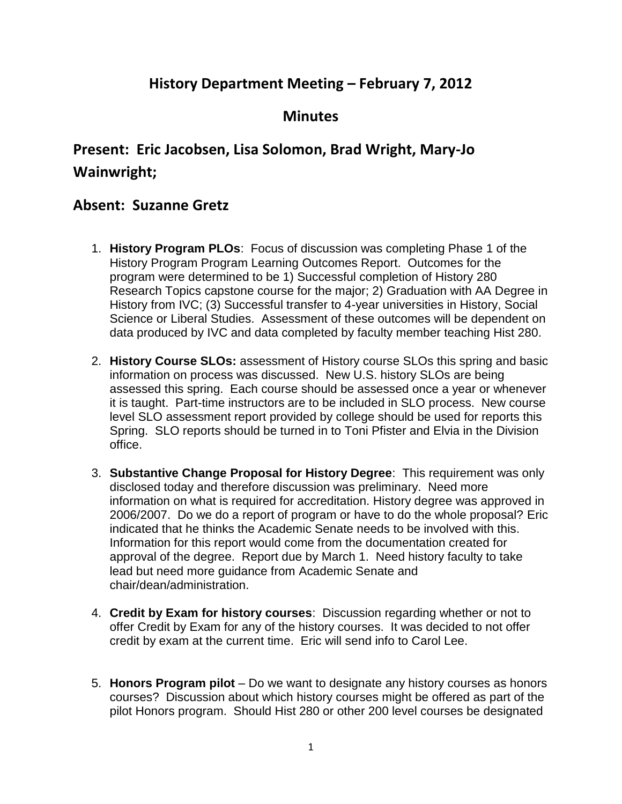## **History Department Meeting – February 7, 2012**

## **Minutes**

# **Present: Eric Jacobsen, Lisa Solomon, Brad Wright, Mary-Jo Wainwright;**

### **Absent: Suzanne Gretz**

- 1. **History Program PLOs**: Focus of discussion was completing Phase 1 of the History Program Program Learning Outcomes Report. Outcomes for the program were determined to be 1) Successful completion of History 280 Research Topics capstone course for the major; 2) Graduation with AA Degree in History from IVC; (3) Successful transfer to 4-year universities in History, Social Science or Liberal Studies. Assessment of these outcomes will be dependent on data produced by IVC and data completed by faculty member teaching Hist 280.
- 2. **History Course SLOs:** assessment of History course SLOs this spring and basic information on process was discussed. New U.S. history SLOs are being assessed this spring. Each course should be assessed once a year or whenever it is taught. Part-time instructors are to be included in SLO process. New course level SLO assessment report provided by college should be used for reports this Spring. SLO reports should be turned in to Toni Pfister and Elvia in the Division office.
- 3. **Substantive Change Proposal for History Degree**: This requirement was only disclosed today and therefore discussion was preliminary. Need more information on what is required for accreditation. History degree was approved in 2006/2007. Do we do a report of program or have to do the whole proposal? Eric indicated that he thinks the Academic Senate needs to be involved with this. Information for this report would come from the documentation created for approval of the degree. Report due by March 1. Need history faculty to take lead but need more guidance from Academic Senate and chair/dean/administration.
- 4. **Credit by Exam for history courses**: Discussion regarding whether or not to offer Credit by Exam for any of the history courses. It was decided to not offer credit by exam at the current time. Eric will send info to Carol Lee.
- 5. **Honors Program pilot** Do we want to designate any history courses as honors courses? Discussion about which history courses might be offered as part of the pilot Honors program. Should Hist 280 or other 200 level courses be designated